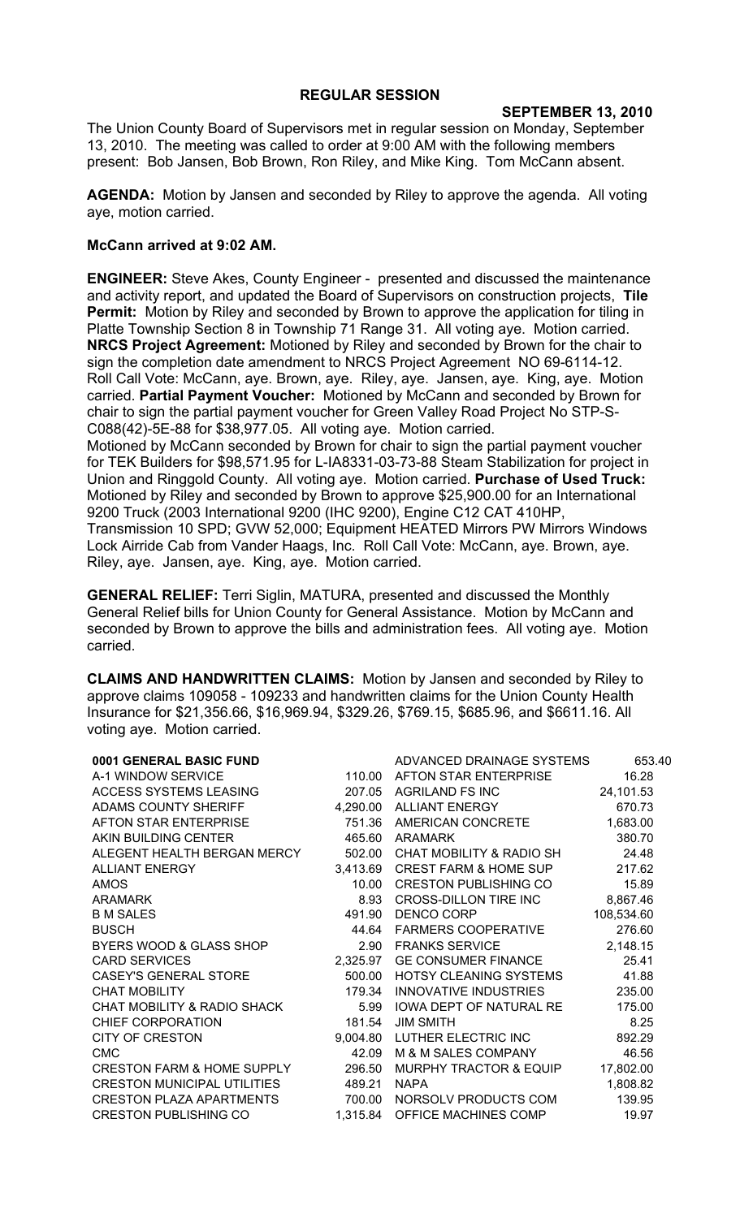## **REGULAR SESSION**

## **SEPTEMBER 13, 2010**

The Union County Board of Supervisors met in regular session on Monday, September 13, 2010. The meeting was called to order at 9:00 AM with the following members present: Bob Jansen, Bob Brown, Ron Riley, and Mike King. Tom McCann absent.

**AGENDA:** Motion by Jansen and seconded by Riley to approve the agenda. All voting aye, motion carried.

## **McCann arrived at 9:02 AM.**

**ENGINEER:** Steve Akes, County Engineer - presented and discussed the maintenance and activity report, and updated the Board of Supervisors on construction projects, **Tile Permit:** Motion by Riley and seconded by Brown to approve the application for tiling in Platte Township Section 8 in Township 71 Range 31. All voting aye. Motion carried. **NRCS Project Agreement:** Motioned by Riley and seconded by Brown for the chair to sign the completion date amendment to NRCS Project Agreement NO 69-6114-12. Roll Call Vote: McCann, aye. Brown, aye. Riley, aye. Jansen, aye. King, aye. Motion carried. **Partial Payment Voucher:** Motioned by McCann and seconded by Brown for chair to sign the partial payment voucher for Green Valley Road Project No STP-S-C088(42)-5E-88 for \$38,977.05. All voting aye. Motion carried. Motioned by McCann seconded by Brown for chair to sign the partial payment voucher for TEK Builders for \$98,571.95 for L-IA8331-03-73-88 Steam Stabilization for project in Union and Ringgold County. All voting aye. Motion carried. **Purchase of Used Truck:**  Motioned by Riley and seconded by Brown to approve \$25,900.00 for an International 9200 Truck (2003 International 9200 (IHC 9200), Engine C12 CAT 410HP, Transmission 10 SPD; GVW 52,000; Equipment HEATED Mirrors PW Mirrors Windows Lock Airride Cab from Vander Haags, Inc. Roll Call Vote: McCann, aye. Brown, aye. Riley, aye. Jansen, aye. King, aye. Motion carried.

**GENERAL RELIEF:** Terri Siglin, MATURA, presented and discussed the Monthly General Relief bills for Union County for General Assistance. Motion by McCann and seconded by Brown to approve the bills and administration fees. All voting aye. Motion carried.

**CLAIMS AND HANDWRITTEN CLAIMS:** Motion by Jansen and seconded by Riley to approve claims 109058 - 109233 and handwritten claims for the Union County Health Insurance for \$21,356.66, \$16,969.94, \$329.26, \$769.15, \$685.96, and \$6611.16. All voting aye. Motion carried.

| 0001 GENERAL BASIC FUND            |          | ADVANCED DRAINAGE SYSTEMS        | 653.40     |
|------------------------------------|----------|----------------------------------|------------|
| A-1 WINDOW SERVICE                 | 110.00   | AFTON STAR ENTERPRISE            | 16.28      |
| ACCESS SYSTEMS LEASING             | 207.05   | <b>AGRILAND FS INC</b>           | 24,101.53  |
| ADAMS COUNTY SHERIFF               | 4,290.00 | ALLIANT ENERGY                   | 670.73     |
| AFTON STAR ENTERPRISE              | 751.36   | AMERICAN CONCRETE                | 1,683.00   |
| AKIN BUILDING CENTER               | 465.60   | <b>ARAMARK</b>                   | 380.70     |
| ALEGENT HEALTH BERGAN MERCY        | 502.00   | CHAT MOBILITY & RADIO SH         | 24.48      |
| <b>ALLIANT ENERGY</b>              | 3,413.69 | <b>CREST FARM &amp; HOME SUP</b> | 217.62     |
| <b>AMOS</b>                        | 10.00    | <b>CRESTON PUBLISHING CO</b>     | 15.89      |
| <b>ARAMARK</b>                     | 8.93     | CROSS-DILLON TIRE INC            | 8,867.46   |
| <b>B M SALES</b>                   | 491.90   | <b>DENCO CORP</b>                | 108,534.60 |
| <b>BUSCH</b>                       | 44.64    | <b>FARMERS COOPERATIVE</b>       | 276.60     |
| BYERS WOOD & GLASS SHOP            | 2.90     | <b>FRANKS SERVICE</b>            | 2,148.15   |
| <b>CARD SERVICES</b>               | 2,325.97 | GE CONSUMER FINANCE              | 25.41      |
| CASEY'S GENERAL STORE              | 500.00   | HOTSY CLEANING SYSTEMS           | 41.88      |
| <b>CHAT MOBILITY</b>               | 179.34   | <b>INNOVATIVE INDUSTRIES</b>     | 235.00     |
| CHAT MOBILITY & RADIO SHACK        | 5.99     | IOWA DEPT OF NATURAL RE          | 175.00     |
| CHIEF CORPORATION                  | 181.54   | <b>JIM SMITH</b>                 | 8.25       |
| <b>CITY OF CRESTON</b>             | 9,004.80 | LUTHER ELECTRIC INC              | 892.29     |
| <b>CMC</b>                         | 42.09    | M & M SALES COMPANY              | 46.56      |
| CRESTON FARM & HOME SUPPLY         | 296.50   | MURPHY TRACTOR & EQUIP           | 17,802.00  |
| <b>CRESTON MUNICIPAL UTILITIES</b> | 489.21   | <b>NAPA</b>                      | 1,808.82   |
| <b>CRESTON PLAZA APARTMENTS</b>    | 700.00   | NORSOLV PRODUCTS COM             | 139.95     |
| <b>CRESTON PUBLISHING CO</b>       | 1,315.84 | OFFICE MACHINES COMP             | 19.97      |
|                                    |          |                                  |            |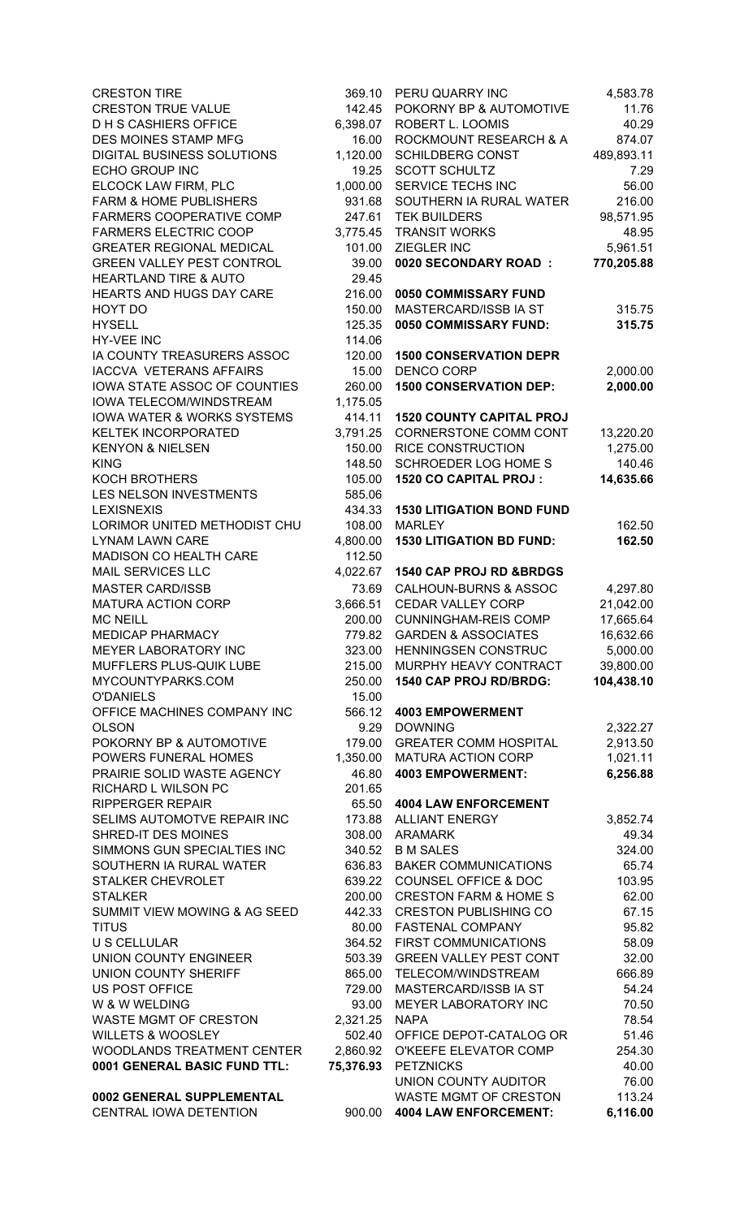| <b>CRESTON TIRE</b>                   | 369.10    | PERU QUARRY INC                  | 4,583.78   |
|---------------------------------------|-----------|----------------------------------|------------|
| <b>CRESTON TRUE VALUE</b>             | 142.45    | POKORNY BP & AUTOMOTIVE          | 11.76      |
| <b>DHS CASHIERS OFFICE</b>            | 6,398.07  | ROBERT L. LOOMIS                 | 40.29      |
| DES MOINES STAMP MFG                  | 16.00     | ROCKMOUNT RESEARCH & A           | 874.07     |
| DIGITAL BUSINESS SOLUTIONS            | 1,120.00  | <b>SCHILDBERG CONST</b>          | 489,893.11 |
| ECHO GROUP INC                        | 19.25     | <b>SCOTT SCHULTZ</b>             | 7.29       |
| ELCOCK LAW FIRM, PLC                  | 1,000.00  | SERVICE TECHS INC                | 56.00      |
|                                       |           |                                  |            |
| <b>FARM &amp; HOME PUBLISHERS</b>     | 931.68    | SOUTHERN IA RURAL WATER          | 216.00     |
| FARMERS COOPERATIVE COMP              | 247.61    | <b>TEK BUILDERS</b>              | 98,571.95  |
| <b>FARMERS ELECTRIC COOP</b>          | 3,775.45  | <b>TRANSIT WORKS</b>             | 48.95      |
| <b>GREATER REGIONAL MEDICAL</b>       | 101.00    | ZIEGLER INC                      | 5,961.51   |
| <b>GREEN VALLEY PEST CONTROL</b>      | 39.00     | 0020 SECONDARY ROAD :            | 770,205.88 |
| <b>HEARTLAND TIRE &amp; AUTO</b>      | 29.45     |                                  |            |
| HEARTS AND HUGS DAY CARE              | 216.00    | 0050 COMMISSARY FUND             |            |
|                                       |           |                                  |            |
| HOYT DO                               | 150.00    | MASTERCARD/ISSB IA ST            | 315.75     |
| <b>HYSELL</b>                         | 125.35    | 0050 COMMISSARY FUND:            | 315.75     |
| HY-VEE INC                            | 114.06    |                                  |            |
| IA COUNTY TREASURERS ASSOC            | 120.00    | <b>1500 CONSERVATION DEPR</b>    |            |
| <b>IACCVA VETERANS AFFAIRS</b>        | 15.00     | <b>DENCO CORP</b>                | 2,000.00   |
| IOWA STATE ASSOC OF COUNTIES          | 260.00    | <b>1500 CONSERVATION DEP:</b>    | 2,000.00   |
| IOWA TELECOM/WINDSTREAM               | 1,175.05  |                                  |            |
|                                       |           |                                  |            |
| <b>IOWA WATER &amp; WORKS SYSTEMS</b> | 414.11    | <b>1520 COUNTY CAPITAL PROJ</b>  |            |
| <b>KELTEK INCORPORATED</b>            | 3,791.25  | CORNERSTONE COMM CONT            | 13,220.20  |
| <b>KENYON &amp; NIELSEN</b>           | 150.00    | <b>RICE CONSTRUCTION</b>         | 1,275.00   |
| <b>KING</b>                           | 148.50    | <b>SCHROEDER LOG HOME S</b>      | 140.46     |
| <b>KOCH BROTHERS</b>                  | 105.00    | 1520 CO CAPITAL PROJ:            | 14,635.66  |
| LES NELSON INVESTMENTS                | 585.06    |                                  |            |
|                                       |           |                                  |            |
| <b>LEXISNEXIS</b>                     | 434.33    | <b>1530 LITIGATION BOND FUND</b> |            |
| LORIMOR UNITED METHODIST CHU          | 108.00    | <b>MARLEY</b>                    | 162.50     |
| <b>LYNAM LAWN CARE</b>                | 4,800.00  | <b>1530 LITIGATION BD FUND:</b>  | 162.50     |
| MADISON CO HEALTH CARE                | 112.50    |                                  |            |
| MAIL SERVICES LLC                     | 4,022.67  | 1540 CAP PROJ RD &BRDGS          |            |
| <b>MASTER CARD/ISSB</b>               | 73.69     | <b>CALHOUN-BURNS &amp; ASSOC</b> | 4,297.80   |
| <b>MATURA ACTION CORP</b>             | 3,666.51  | <b>CEDAR VALLEY CORP</b>         | 21,042.00  |
|                                       |           |                                  |            |
| <b>MC NEILL</b>                       | 200.00    | <b>CUNNINGHAM-REIS COMP</b>      | 17,665.64  |
| <b>MEDICAP PHARMACY</b>               | 779.82    | <b>GARDEN &amp; ASSOCIATES</b>   | 16,632.66  |
| MEYER LABORATORY INC                  | 323.00    | HENNINGSEN CONSTRUC              | 5,000.00   |
| MUFFLERS PLUS-QUIK LUBE               | 215.00    | MURPHY HEAVY CONTRACT            | 39,800.00  |
| MYCOUNTYPARKS.COM                     | 250.00    | 1540 CAP PROJ RD/BRDG:           | 104,438.10 |
| <b>O'DANIELS</b>                      | 15.00     |                                  |            |
| OFFICE MACHINES COMPANY INC           | 566.12    | <b>4003 EMPOWERMENT</b>          |            |
|                                       |           | <b>DOWNING</b>                   |            |
| <b>OLSON</b>                          | 9.29      |                                  | 2,322.27   |
| POKORNY BP & AUTOMOTIVE               | 179.00    | <b>GREATER COMM HOSPITAL</b>     | 2,913.50   |
| POWERS FUNERAL HOMES                  | 1,350.00  | MATURA ACTION CORP               | 1,021.11   |
| PRAIRIE SOLID WASTE AGENCY            | 46.80     | <b>4003 EMPOWERMENT:</b>         | 6,256.88   |
| RICHARD L WILSON PC                   | 201.65    |                                  |            |
| <b>RIPPERGER REPAIR</b>               | 65.50     | <b>4004 LAW ENFORCEMENT</b>      |            |
| SELIMS AUTOMOTVE REPAIR INC           | 173.88    | <b>ALLIANT ENERGY</b>            | 3,852.74   |
| SHRED-IT DES MOINES                   | 308.00    | <b>ARAMARK</b>                   | 49.34      |
|                                       |           |                                  |            |
| SIMMONS GUN SPECIALTIES INC           | 340.52    | <b>B M SALES</b>                 | 324.00     |
| SOUTHERN IA RURAL WATER               | 636.83    | <b>BAKER COMMUNICATIONS</b>      | 65.74      |
| STALKER CHEVROLET                     | 639.22    | <b>COUNSEL OFFICE &amp; DOC</b>  | 103.95     |
| <b>STALKER</b>                        | 200.00    | <b>CRESTON FARM &amp; HOME S</b> | 62.00      |
| SUMMIT VIEW MOWING & AG SEED          | 442.33    | <b>CRESTON PUBLISHING CO</b>     | 67.15      |
| <b>TITUS</b>                          | 80.00     | <b>FASTENAL COMPANY</b>          | 95.82      |
|                                       |           |                                  |            |
| <b>U S CELLULAR</b>                   | 364.52    | FIRST COMMUNICATIONS             | 58.09      |
| <b>UNION COUNTY ENGINEER</b>          | 503.39    | <b>GREEN VALLEY PEST CONT</b>    | 32.00      |
| <b>UNION COUNTY SHERIFF</b>           | 865.00    | TELECOM/WINDSTREAM               | 666.89     |
| <b>US POST OFFICE</b>                 | 729.00    | MASTERCARD/ISSB IA ST            | 54.24      |
| W & W WELDING                         | 93.00     | MEYER LABORATORY INC             | 70.50      |
| WASTE MGMT OF CRESTON                 | 2,321.25  | <b>NAPA</b>                      | 78.54      |
| <b>WILLETS &amp; WOOSLEY</b>          | 502.40    | OFFICE DEPOT-CATALOG OR          | 51.46      |
|                                       |           |                                  | 254.30     |
| <b>WOODLANDS TREATMENT CENTER</b>     | 2,860.92  | O'KEEFE ELEVATOR COMP            |            |
| 0001 GENERAL BASIC FUND TTL:          | 75,376.93 | <b>PETZNICKS</b>                 | 40.00      |
|                                       |           | UNION COUNTY AUDITOR             | 76.00      |
| 0002 GENERAL SUPPLEMENTAL             |           | <b>WASTE MGMT OF CRESTON</b>     | 113.24     |
| CENTRAL IOWA DETENTION                | 900.00    | <b>4004 LAW ENFORCEMENT:</b>     | 6,116.00   |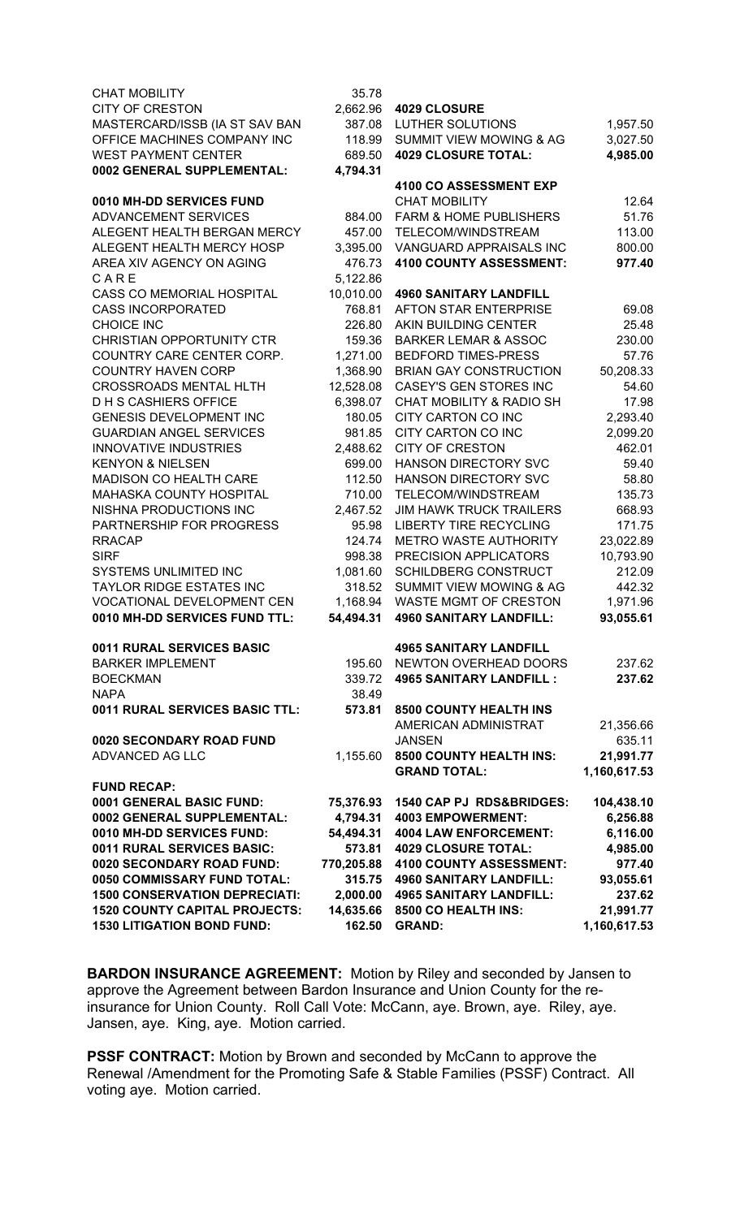| <b>CHAT MOBILITY</b>                 | 35.78      |                                    |              |
|--------------------------------------|------------|------------------------------------|--------------|
| <b>CITY OF CRESTON</b>               | 2,662.96   | <b>4029 CLOSURE</b>                |              |
| MASTERCARD/ISSB (IA ST SAV BAN       | 387.08     | LUTHER SOLUTIONS                   | 1,957.50     |
| OFFICE MACHINES COMPANY INC          | 118.99     | <b>SUMMIT VIEW MOWING &amp; AG</b> | 3,027.50     |
| <b>WEST PAYMENT CENTER</b>           | 689.50     | <b>4029 CLOSURE TOTAL:</b>         | 4,985.00     |
| 0002 GENERAL SUPPLEMENTAL:           | 4,794.31   |                                    |              |
|                                      |            | 4100 CO ASSESSMENT EXP             |              |
| 0010 MH-DD SERVICES FUND             |            | <b>CHAT MOBILITY</b>               | 12.64        |
| ADVANCEMENT SERVICES                 | 884.00     | <b>FARM &amp; HOME PUBLISHERS</b>  | 51.76        |
| ALEGENT HEALTH BERGAN MERCY          | 457.00     | TELECOM/WINDSTREAM                 | 113.00       |
| ALEGENT HEALTH MERCY HOSP            | 3,395.00   | VANGUARD APPRAISALS INC            | 800.00       |
| AREA XIV AGENCY ON AGING             | 476.73     | 4100 COUNTY ASSESSMENT:            | 977.40       |
| CARE                                 | 5,122.86   |                                    |              |
| <b>CASS CO MEMORIAL HOSPITAL</b>     | 10,010.00  | <b>4960 SANITARY LANDFILL</b>      |              |
| <b>CASS INCORPORATED</b>             | 768.81     | AFTON STAR ENTERPRISE              | 69.08        |
| <b>CHOICE INC</b>                    | 226.80     | AKIN BUILDING CENTER               | 25.48        |
| <b>CHRISTIAN OPPORTUNITY CTR</b>     | 159.36     | <b>BARKER LEMAR &amp; ASSOC</b>    | 230.00       |
| COUNTRY CARE CENTER CORP.            | 1,271.00   | <b>BEDFORD TIMES-PRESS</b>         | 57.76        |
| <b>COUNTRY HAVEN CORP</b>            | 1,368.90   | <b>BRIAN GAY CONSTRUCTION</b>      | 50,208.33    |
| <b>CROSSROADS MENTAL HLTH</b>        | 12,528.08  | <b>CASEY'S GEN STORES INC</b>      | 54.60        |
| <b>DHS CASHIERS OFFICE</b>           | 6,398.07   | CHAT MOBILITY & RADIO SH           | 17.98        |
| <b>GENESIS DEVELOPMENT INC</b>       | 180.05     | CITY CARTON CO INC                 | 2,293.40     |
| <b>GUARDIAN ANGEL SERVICES</b>       | 981.85     | <b>CITY CARTON CO INC</b>          | 2,099.20     |
| <b>INNOVATIVE INDUSTRIES</b>         | 2,488.62   | <b>CITY OF CRESTON</b>             | 462.01       |
| <b>KENYON &amp; NIELSEN</b>          | 699.00     | HANSON DIRECTORY SVC               | 59.40        |
| MADISON CO HEALTH CARE               | 112.50     | <b>HANSON DIRECTORY SVC</b>        | 58.80        |
| MAHASKA COUNTY HOSPITAL              | 710.00     | TELECOM/WINDSTREAM                 | 135.73       |
| NISHNA PRODUCTIONS INC               | 2,467.52   | <b>JIM HAWK TRUCK TRAILERS</b>     | 668.93       |
| PARTNERSHIP FOR PROGRESS             | 95.98      | <b>LIBERTY TIRE RECYCLING</b>      | 171.75       |
| <b>RRACAP</b>                        | 124.74     | <b>METRO WASTE AUTHORITY</b>       | 23,022.89    |
| <b>SIRF</b>                          | 998.38     | PRECISION APPLICATORS              | 10,793.90    |
| SYSTEMS UNLIMITED INC                | 1,081.60   | <b>SCHILDBERG CONSTRUCT</b>        | 212.09       |
| <b>TAYLOR RIDGE ESTATES INC</b>      | 318.52     | <b>SUMMIT VIEW MOWING &amp; AG</b> | 442.32       |
| VOCATIONAL DEVELOPMENT CEN           | 1,168.94   | <b>WASTE MGMT OF CRESTON</b>       | 1,971.96     |
| 0010 MH-DD SERVICES FUND TTL:        | 54,494.31  | <b>4960 SANITARY LANDFILL:</b>     | 93,055.61    |
| 0011 RURAL SERVICES BASIC            |            | <b>4965 SANITARY LANDFILL</b>      |              |
| <b>BARKER IMPLEMENT</b>              | 195.60     | NEWTON OVERHEAD DOORS              | 237.62       |
| <b>BOECKMAN</b>                      | 339.72     | <b>4965 SANITARY LANDFILL:</b>     | 237.62       |
| <b>NAPA</b>                          | 38.49      |                                    |              |
| 0011 RURAL SERVICES BASIC TTL:       | 573.81     | <b>8500 COUNTY HEALTH INS</b>      |              |
|                                      |            | AMERICAN ADMINISTRAT               | 21,356.66    |
| 0020 SECONDARY ROAD FUND             |            | <b>JANSEN</b>                      | 635.11       |
| ADVANCED AG LLC                      | 1,155.60   | 8500 COUNTY HEALTH INS:            | 21,991.77    |
|                                      |            | <b>GRAND TOTAL:</b>                | 1,160,617.53 |
| <b>FUND RECAP:</b>                   |            |                                    |              |
| 0001 GENERAL BASIC FUND:             | 75,376.93  | 1540 CAP PJ RDS&BRIDGES:           | 104,438.10   |
| 0002 GENERAL SUPPLEMENTAL:           | 4,794.31   | <b>4003 EMPOWERMENT:</b>           | 6,256.88     |
| 0010 MH-DD SERVICES FUND:            | 54,494.31  | <b>4004 LAW ENFORCEMENT:</b>       | 6,116.00     |
| 0011 RURAL SERVICES BASIC:           | 573.81     | <b>4029 CLOSURE TOTAL:</b>         | 4,985.00     |
| 0020 SECONDARY ROAD FUND:            | 770,205.88 | 4100 COUNTY ASSESSMENT:            | 977.40       |
| 0050 COMMISSARY FUND TOTAL:          | 315.75     | <b>4960 SANITARY LANDFILL:</b>     | 93,055.61    |
| <b>1500 CONSERVATION DEPRECIATI:</b> | 2,000.00   | <b>4965 SANITARY LANDFILL:</b>     | 237.62       |
| <b>1520 COUNTY CAPITAL PROJECTS:</b> | 14,635.66  | 8500 CO HEALTH INS:                | 21,991.77    |
| <b>1530 LITIGATION BOND FUND:</b>    | 162.50     | <b>GRAND:</b>                      | 1,160,617.53 |

**BARDON INSURANCE AGREEMENT:** Motion by Riley and seconded by Jansen to approve the Agreement between Bardon Insurance and Union County for the reinsurance for Union County. Roll Call Vote: McCann, aye. Brown, aye. Riley, aye. Jansen, aye. King, aye. Motion carried.

**PSSF CONTRACT:** Motion by Brown and seconded by McCann to approve the Renewal /Amendment for the Promoting Safe & Stable Families (PSSF) Contract. All voting aye. Motion carried.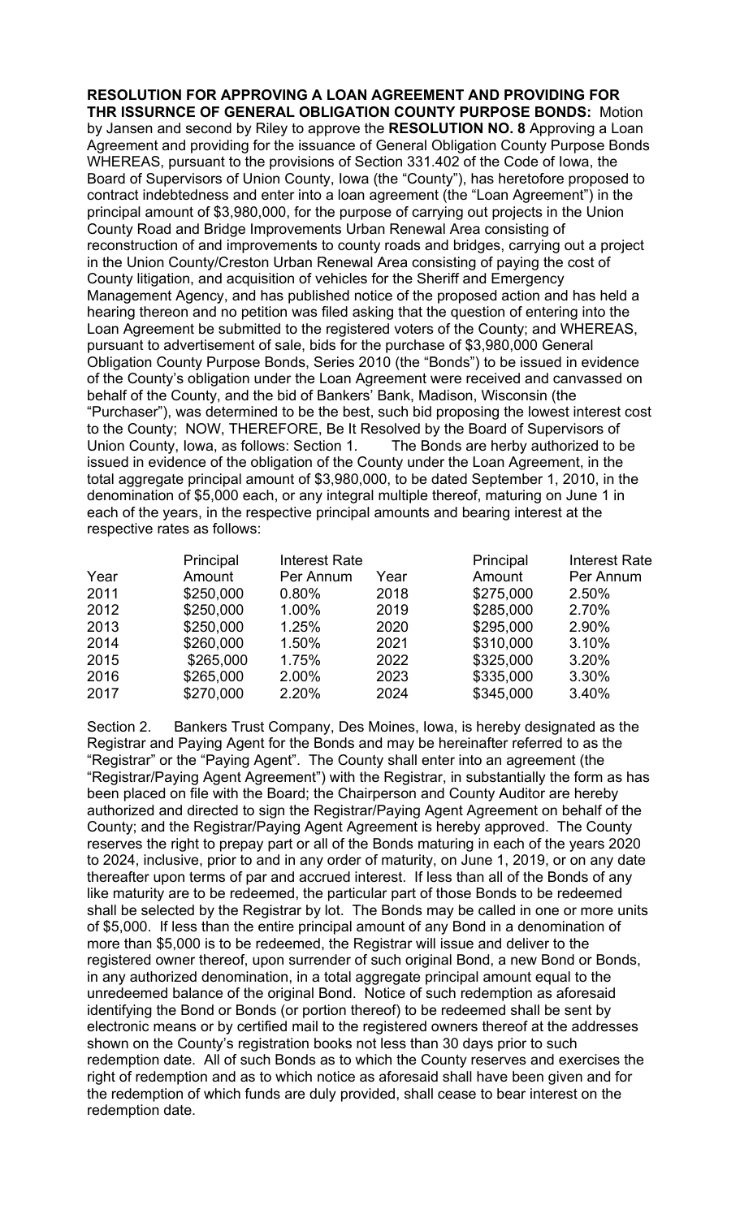**RESOLUTION FOR APPROVING A LOAN AGREEMENT AND PROVIDING FOR THR ISSURNCE OF GENERAL OBLIGATION COUNTY PURPOSE BONDS:** Motion by Jansen and second by Riley to approve the **RESOLUTION NO. 8** Approving a Loan Agreement and providing for the issuance of General Obligation County Purpose Bonds WHEREAS, pursuant to the provisions of Section 331.402 of the Code of Iowa, the Board of Supervisors of Union County, Iowa (the "County"), has heretofore proposed to contract indebtedness and enter into a loan agreement (the "Loan Agreement") in the principal amount of \$3,980,000, for the purpose of carrying out projects in the Union County Road and Bridge Improvements Urban Renewal Area consisting of reconstruction of and improvements to county roads and bridges, carrying out a project in the Union County/Creston Urban Renewal Area consisting of paying the cost of County litigation, and acquisition of vehicles for the Sheriff and Emergency Management Agency, and has published notice of the proposed action and has held a hearing thereon and no petition was filed asking that the question of entering into the Loan Agreement be submitted to the registered voters of the County; and WHEREAS, pursuant to advertisement of sale, bids for the purchase of \$3,980,000 General Obligation County Purpose Bonds, Series 2010 (the "Bonds") to be issued in evidence of the County's obligation under the Loan Agreement were received and canvassed on behalf of the County, and the bid of Bankers' Bank, Madison, Wisconsin (the "Purchaser"), was determined to be the best, such bid proposing the lowest interest cost to the County; NOW, THEREFORE, Be It Resolved by the Board of Supervisors of Union County, Iowa, as follows: Section 1. The Bonds are herby authorized to be issued in evidence of the obligation of the County under the Loan Agreement, in the total aggregate principal amount of \$3,980,000, to be dated September 1, 2010, in the denomination of \$5,000 each, or any integral multiple thereof, maturing on June 1 in each of the years, in the respective principal amounts and bearing interest at the respective rates as follows:

|      | Principal | <b>Interest Rate</b> |      | Principal | <b>Interest Rate</b> |
|------|-----------|----------------------|------|-----------|----------------------|
| Year | Amount    | Per Annum            | Year | Amount    | Per Annum            |
| 2011 | \$250,000 | 0.80%                | 2018 | \$275,000 | 2.50%                |
| 2012 | \$250,000 | 1.00%                | 2019 | \$285,000 | 2.70%                |
| 2013 | \$250,000 | 1.25%                | 2020 | \$295,000 | 2.90%                |
| 2014 | \$260,000 | 1.50%                | 2021 | \$310,000 | 3.10%                |
| 2015 | \$265,000 | 1.75%                | 2022 | \$325,000 | 3.20%                |
| 2016 | \$265,000 | 2.00%                | 2023 | \$335,000 | 3.30%                |
| 2017 | \$270,000 | 2.20%                | 2024 | \$345,000 | 3.40%                |

Section 2. Bankers Trust Company, Des Moines, Iowa, is hereby designated as the Registrar and Paying Agent for the Bonds and may be hereinafter referred to as the "Registrar" or the "Paying Agent". The County shall enter into an agreement (the "Registrar/Paying Agent Agreement") with the Registrar, in substantially the form as has been placed on file with the Board; the Chairperson and County Auditor are hereby authorized and directed to sign the Registrar/Paying Agent Agreement on behalf of the County; and the Registrar/Paying Agent Agreement is hereby approved. The County reserves the right to prepay part or all of the Bonds maturing in each of the years 2020 to 2024, inclusive, prior to and in any order of maturity, on June 1, 2019, or on any date thereafter upon terms of par and accrued interest. If less than all of the Bonds of any like maturity are to be redeemed, the particular part of those Bonds to be redeemed shall be selected by the Registrar by lot. The Bonds may be called in one or more units of \$5,000. If less than the entire principal amount of any Bond in a denomination of more than \$5,000 is to be redeemed, the Registrar will issue and deliver to the registered owner thereof, upon surrender of such original Bond, a new Bond or Bonds, in any authorized denomination, in a total aggregate principal amount equal to the unredeemed balance of the original Bond. Notice of such redemption as aforesaid identifying the Bond or Bonds (or portion thereof) to be redeemed shall be sent by electronic means or by certified mail to the registered owners thereof at the addresses shown on the County's registration books not less than 30 days prior to such redemption date. All of such Bonds as to which the County reserves and exercises the right of redemption and as to which notice as aforesaid shall have been given and for the redemption of which funds are duly provided, shall cease to bear interest on the redemption date.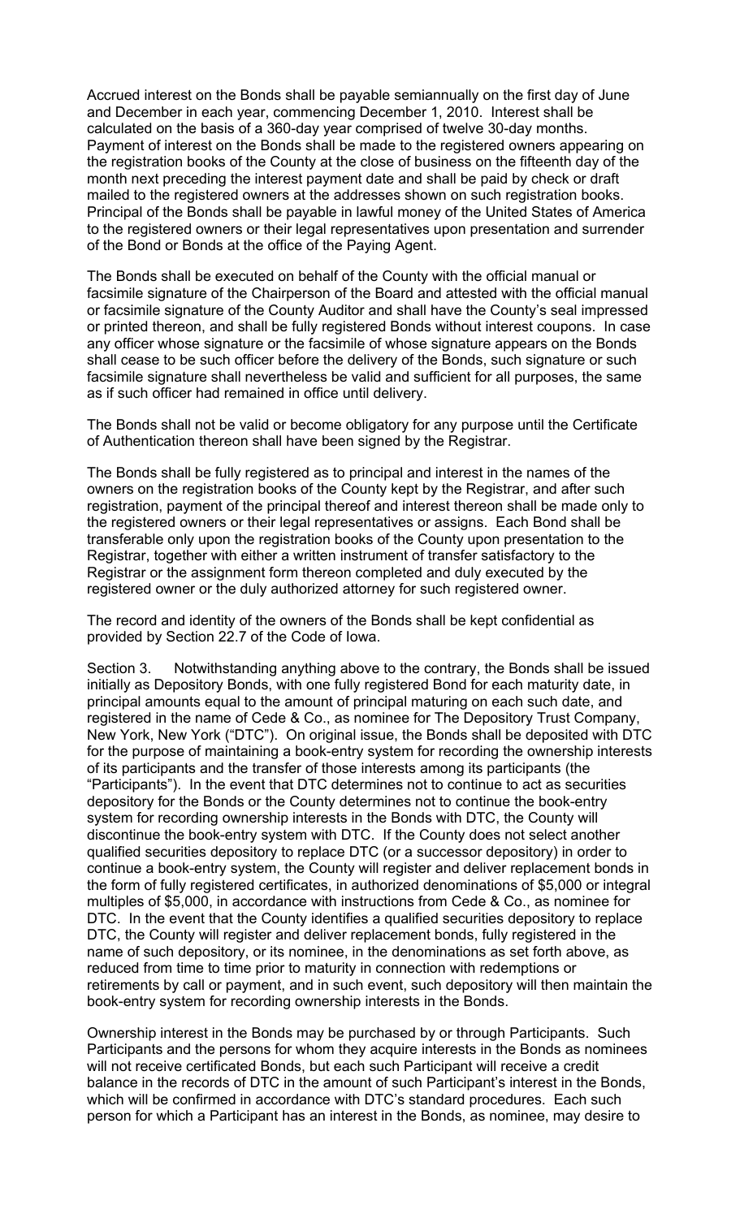Accrued interest on the Bonds shall be payable semiannually on the first day of June and December in each year, commencing December 1, 2010. Interest shall be calculated on the basis of a 360-day year comprised of twelve 30-day months. Payment of interest on the Bonds shall be made to the registered owners appearing on the registration books of the County at the close of business on the fifteenth day of the month next preceding the interest payment date and shall be paid by check or draft mailed to the registered owners at the addresses shown on such registration books. Principal of the Bonds shall be payable in lawful money of the United States of America to the registered owners or their legal representatives upon presentation and surrender of the Bond or Bonds at the office of the Paying Agent.

The Bonds shall be executed on behalf of the County with the official manual or facsimile signature of the Chairperson of the Board and attested with the official manual or facsimile signature of the County Auditor and shall have the County's seal impressed or printed thereon, and shall be fully registered Bonds without interest coupons. In case any officer whose signature or the facsimile of whose signature appears on the Bonds shall cease to be such officer before the delivery of the Bonds, such signature or such facsimile signature shall nevertheless be valid and sufficient for all purposes, the same as if such officer had remained in office until delivery.

The Bonds shall not be valid or become obligatory for any purpose until the Certificate of Authentication thereon shall have been signed by the Registrar.

The Bonds shall be fully registered as to principal and interest in the names of the owners on the registration books of the County kept by the Registrar, and after such registration, payment of the principal thereof and interest thereon shall be made only to the registered owners or their legal representatives or assigns. Each Bond shall be transferable only upon the registration books of the County upon presentation to the Registrar, together with either a written instrument of transfer satisfactory to the Registrar or the assignment form thereon completed and duly executed by the registered owner or the duly authorized attorney for such registered owner.

The record and identity of the owners of the Bonds shall be kept confidential as provided by Section 22.7 of the Code of Iowa.

Section 3. Notwithstanding anything above to the contrary, the Bonds shall be issued initially as Depository Bonds, with one fully registered Bond for each maturity date, in principal amounts equal to the amount of principal maturing on each such date, and registered in the name of Cede & Co., as nominee for The Depository Trust Company, New York, New York ("DTC"). On original issue, the Bonds shall be deposited with DTC for the purpose of maintaining a book-entry system for recording the ownership interests of its participants and the transfer of those interests among its participants (the "Participants"). In the event that DTC determines not to continue to act as securities depository for the Bonds or the County determines not to continue the book-entry system for recording ownership interests in the Bonds with DTC, the County will discontinue the book-entry system with DTC. If the County does not select another qualified securities depository to replace DTC (or a successor depository) in order to continue a book-entry system, the County will register and deliver replacement bonds in the form of fully registered certificates, in authorized denominations of \$5,000 or integral multiples of \$5,000, in accordance with instructions from Cede & Co., as nominee for DTC. In the event that the County identifies a qualified securities depository to replace DTC, the County will register and deliver replacement bonds, fully registered in the name of such depository, or its nominee, in the denominations as set forth above, as reduced from time to time prior to maturity in connection with redemptions or retirements by call or payment, and in such event, such depository will then maintain the book-entry system for recording ownership interests in the Bonds.

Ownership interest in the Bonds may be purchased by or through Participants. Such Participants and the persons for whom they acquire interests in the Bonds as nominees will not receive certificated Bonds, but each such Participant will receive a credit balance in the records of DTC in the amount of such Participant's interest in the Bonds, which will be confirmed in accordance with DTC's standard procedures. Each such person for which a Participant has an interest in the Bonds, as nominee, may desire to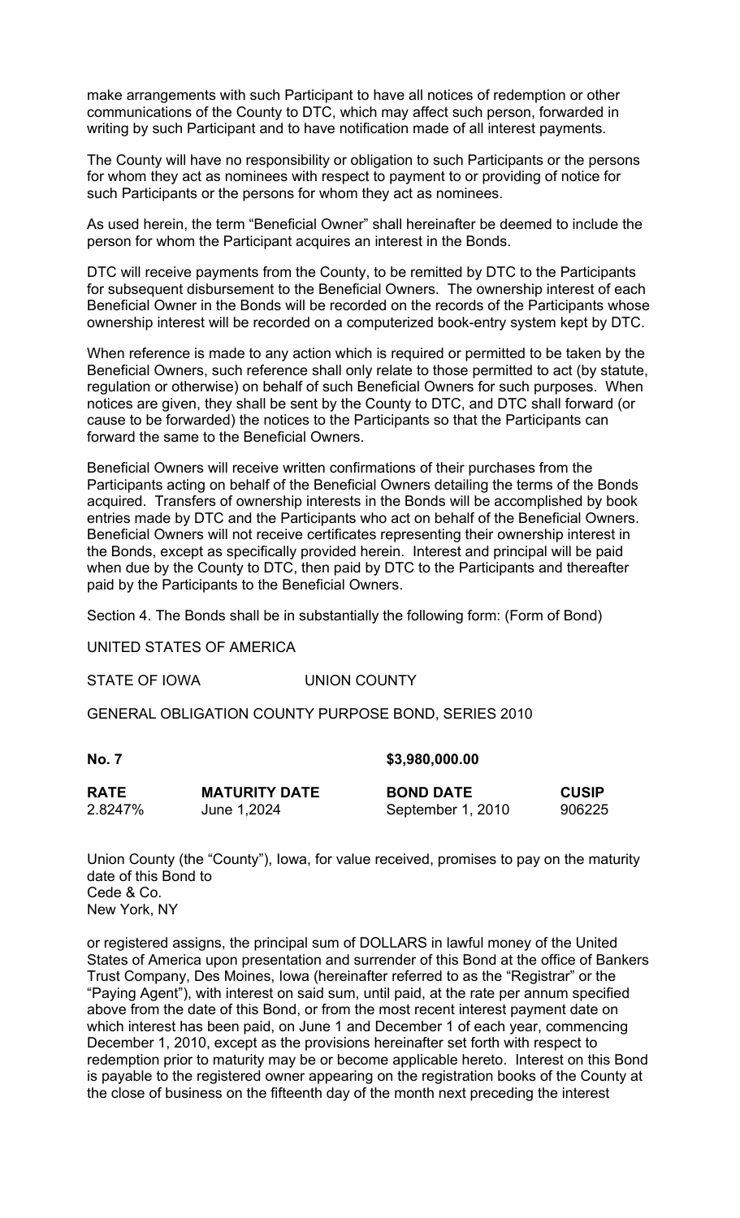make arrangements with such Participant to have all notices of redemption or other communications of the County to DTC, which may affect such person, forwarded in writing by such Participant and to have notification made of all interest payments.

The County will have no responsibility or obligation to such Participants or the persons for whom they act as nominees with respect to payment to or providing of notice for such Participants or the persons for whom they act as nominees.

As used herein, the term "Beneficial Owner" shall hereinafter be deemed to include the person for whom the Participant acquires an interest in the Bonds.

DTC will receive payments from the County, to be remitted by DTC to the Participants for subsequent disbursement to the Beneficial Owners. The ownership interest of each Beneficial Owner in the Bonds will be recorded on the records of the Participants whose ownership interest will be recorded on a computerized book-entry system kept by DTC.

When reference is made to any action which is required or permitted to be taken by the Beneficial Owners, such reference shall only relate to those permitted to act (by statute, regulation or otherwise) on behalf of such Beneficial Owners for such purposes. When notices are given, they shall be sent by the County to DTC, and DTC shall forward (or cause to be forwarded) the notices to the Participants so that the Participants can forward the same to the Beneficial Owners.

Beneficial Owners will receive written confirmations of their purchases from the Participants acting on behalf of the Beneficial Owners detailing the terms of the Bonds acquired. Transfers of ownership interests in the Bonds will be accomplished by book entries made by DTC and the Participants who act on behalf of the Beneficial Owners. Beneficial Owners will not receive certificates representing their ownership interest in the Bonds, except as specifically provided herein. Interest and principal will be paid when due by the County to DTC, then paid by DTC to the Participants and thereafter paid by the Participants to the Beneficial Owners.

Section 4. The Bonds shall be in substantially the following form: (Form of Bond)

UNITED STATES OF AMERICA

STATE OF IOWA UNION COUNTY

GENERAL OBLIGATION COUNTY PURPOSE BOND, SERIES 2010

**No. 7 \$3,980,000.00**

| <b>RATE</b> | <b>MATURITY DATE</b> | <b>BOND DATE</b>  | <b>CUSIP</b> |
|-------------|----------------------|-------------------|--------------|
| 2.8247%     | June 1,2024          | September 1, 2010 | 906225       |

Union County (the "County"), Iowa, for value received, promises to pay on the maturity date of this Bond to Cede & Co. New York, NY

or registered assigns, the principal sum of DOLLARS in lawful money of the United States of America upon presentation and surrender of this Bond at the office of Bankers Trust Company, Des Moines, Iowa (hereinafter referred to as the "Registrar" or the "Paying Agent"), with interest on said sum, until paid, at the rate per annum specified above from the date of this Bond, or from the most recent interest payment date on which interest has been paid, on June 1 and December 1 of each year, commencing December 1, 2010, except as the provisions hereinafter set forth with respect to redemption prior to maturity may be or become applicable hereto. Interest on this Bond is payable to the registered owner appearing on the registration books of the County at the close of business on the fifteenth day of the month next preceding the interest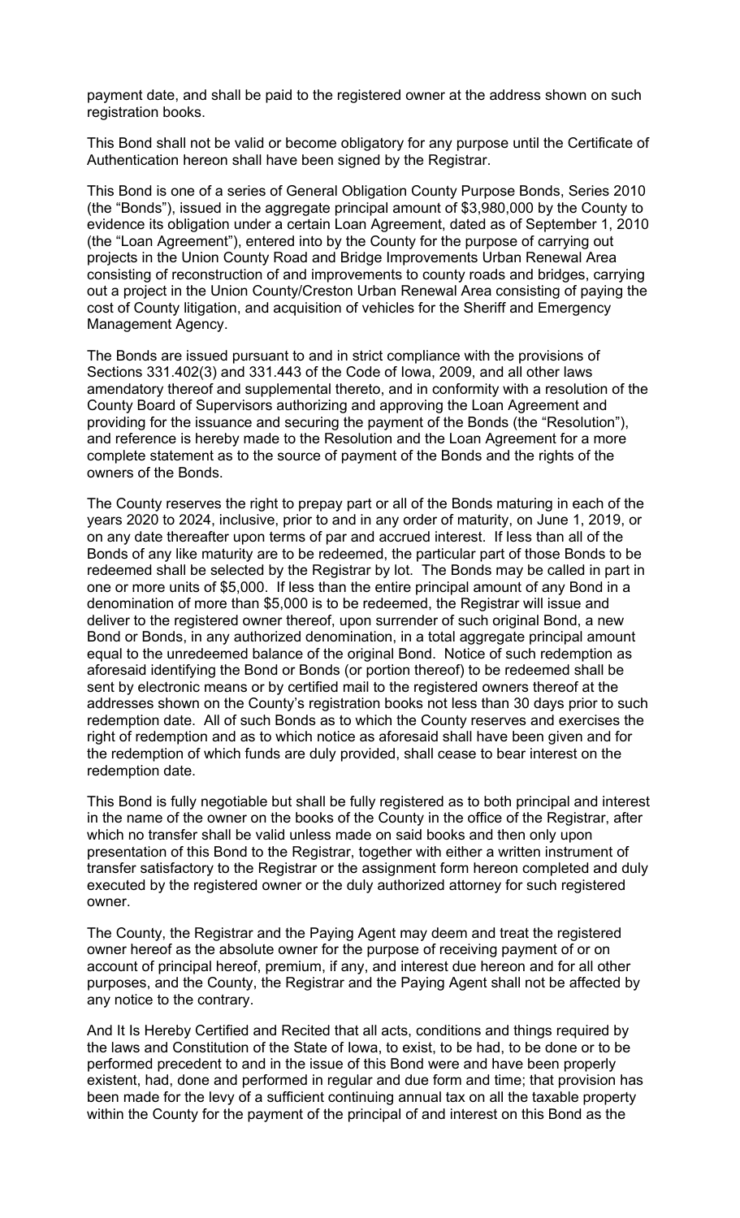payment date, and shall be paid to the registered owner at the address shown on such registration books.

This Bond shall not be valid or become obligatory for any purpose until the Certificate of Authentication hereon shall have been signed by the Registrar.

This Bond is one of a series of General Obligation County Purpose Bonds, Series 2010 (the "Bonds"), issued in the aggregate principal amount of \$3,980,000 by the County to evidence its obligation under a certain Loan Agreement, dated as of September 1, 2010 (the "Loan Agreement"), entered into by the County for the purpose of carrying out projects in the Union County Road and Bridge Improvements Urban Renewal Area consisting of reconstruction of and improvements to county roads and bridges, carrying out a project in the Union County/Creston Urban Renewal Area consisting of paying the cost of County litigation, and acquisition of vehicles for the Sheriff and Emergency Management Agency.

The Bonds are issued pursuant to and in strict compliance with the provisions of Sections 331.402(3) and 331.443 of the Code of Iowa, 2009, and all other laws amendatory thereof and supplemental thereto, and in conformity with a resolution of the County Board of Supervisors authorizing and approving the Loan Agreement and providing for the issuance and securing the payment of the Bonds (the "Resolution"), and reference is hereby made to the Resolution and the Loan Agreement for a more complete statement as to the source of payment of the Bonds and the rights of the owners of the Bonds.

The County reserves the right to prepay part or all of the Bonds maturing in each of the years 2020 to 2024, inclusive, prior to and in any order of maturity, on June 1, 2019, or on any date thereafter upon terms of par and accrued interest. If less than all of the Bonds of any like maturity are to be redeemed, the particular part of those Bonds to be redeemed shall be selected by the Registrar by lot. The Bonds may be called in part in one or more units of \$5,000. If less than the entire principal amount of any Bond in a denomination of more than \$5,000 is to be redeemed, the Registrar will issue and deliver to the registered owner thereof, upon surrender of such original Bond, a new Bond or Bonds, in any authorized denomination, in a total aggregate principal amount equal to the unredeemed balance of the original Bond. Notice of such redemption as aforesaid identifying the Bond or Bonds (or portion thereof) to be redeemed shall be sent by electronic means or by certified mail to the registered owners thereof at the addresses shown on the County's registration books not less than 30 days prior to such redemption date. All of such Bonds as to which the County reserves and exercises the right of redemption and as to which notice as aforesaid shall have been given and for the redemption of which funds are duly provided, shall cease to bear interest on the redemption date.

This Bond is fully negotiable but shall be fully registered as to both principal and interest in the name of the owner on the books of the County in the office of the Registrar, after which no transfer shall be valid unless made on said books and then only upon presentation of this Bond to the Registrar, together with either a written instrument of transfer satisfactory to the Registrar or the assignment form hereon completed and duly executed by the registered owner or the duly authorized attorney for such registered owner.

The County, the Registrar and the Paying Agent may deem and treat the registered owner hereof as the absolute owner for the purpose of receiving payment of or on account of principal hereof, premium, if any, and interest due hereon and for all other purposes, and the County, the Registrar and the Paying Agent shall not be affected by any notice to the contrary.

And It Is Hereby Certified and Recited that all acts, conditions and things required by the laws and Constitution of the State of Iowa, to exist, to be had, to be done or to be performed precedent to and in the issue of this Bond were and have been properly existent, had, done and performed in regular and due form and time; that provision has been made for the levy of a sufficient continuing annual tax on all the taxable property within the County for the payment of the principal of and interest on this Bond as the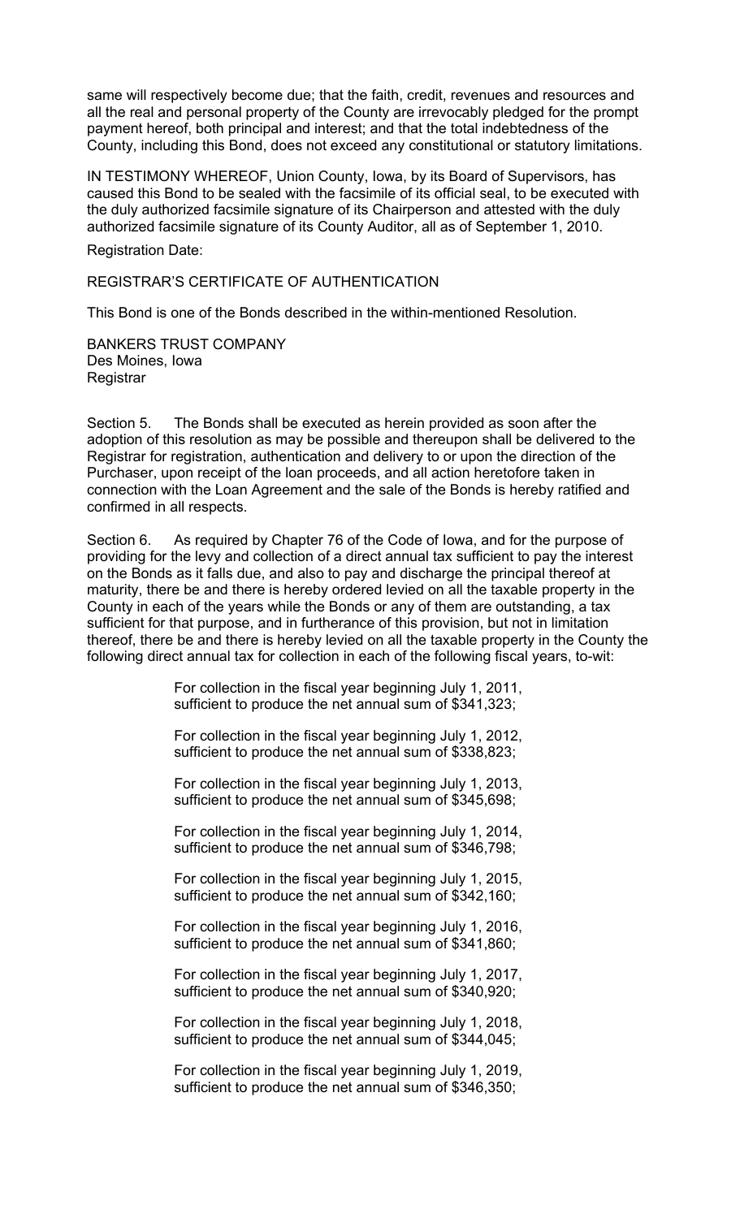same will respectively become due; that the faith, credit, revenues and resources and all the real and personal property of the County are irrevocably pledged for the prompt payment hereof, both principal and interest; and that the total indebtedness of the County, including this Bond, does not exceed any constitutional or statutory limitations.

IN TESTIMONY WHEREOF, Union County, Iowa, by its Board of Supervisors, has caused this Bond to be sealed with the facsimile of its official seal, to be executed with the duly authorized facsimile signature of its Chairperson and attested with the duly authorized facsimile signature of its County Auditor, all as of September 1, 2010.

Registration Date:

REGISTRAR'S CERTIFICATE OF AUTHENTICATION

This Bond is one of the Bonds described in the within-mentioned Resolution.

BANKERS TRUST COMPANY Des Moines, Iowa **Registrar** 

Section 5. The Bonds shall be executed as herein provided as soon after the adoption of this resolution as may be possible and thereupon shall be delivered to the Registrar for registration, authentication and delivery to or upon the direction of the Purchaser, upon receipt of the loan proceeds, and all action heretofore taken in connection with the Loan Agreement and the sale of the Bonds is hereby ratified and confirmed in all respects.

Section 6. As required by Chapter 76 of the Code of Iowa, and for the purpose of providing for the levy and collection of a direct annual tax sufficient to pay the interest on the Bonds as it falls due, and also to pay and discharge the principal thereof at maturity, there be and there is hereby ordered levied on all the taxable property in the County in each of the years while the Bonds or any of them are outstanding, a tax sufficient for that purpose, and in furtherance of this provision, but not in limitation thereof, there be and there is hereby levied on all the taxable property in the County the following direct annual tax for collection in each of the following fiscal years, to-wit:

> For collection in the fiscal year beginning July 1, 2011, sufficient to produce the net annual sum of \$341,323;

> For collection in the fiscal year beginning July 1, 2012, sufficient to produce the net annual sum of \$338,823;

> For collection in the fiscal year beginning July 1, 2013, sufficient to produce the net annual sum of \$345,698;

> For collection in the fiscal year beginning July 1, 2014, sufficient to produce the net annual sum of \$346,798;

> For collection in the fiscal year beginning July 1, 2015, sufficient to produce the net annual sum of \$342,160;

> For collection in the fiscal year beginning July 1, 2016, sufficient to produce the net annual sum of \$341,860;

> For collection in the fiscal year beginning July 1, 2017, sufficient to produce the net annual sum of \$340,920;

> For collection in the fiscal year beginning July 1, 2018, sufficient to produce the net annual sum of \$344,045;

> For collection in the fiscal year beginning July 1, 2019, sufficient to produce the net annual sum of \$346,350;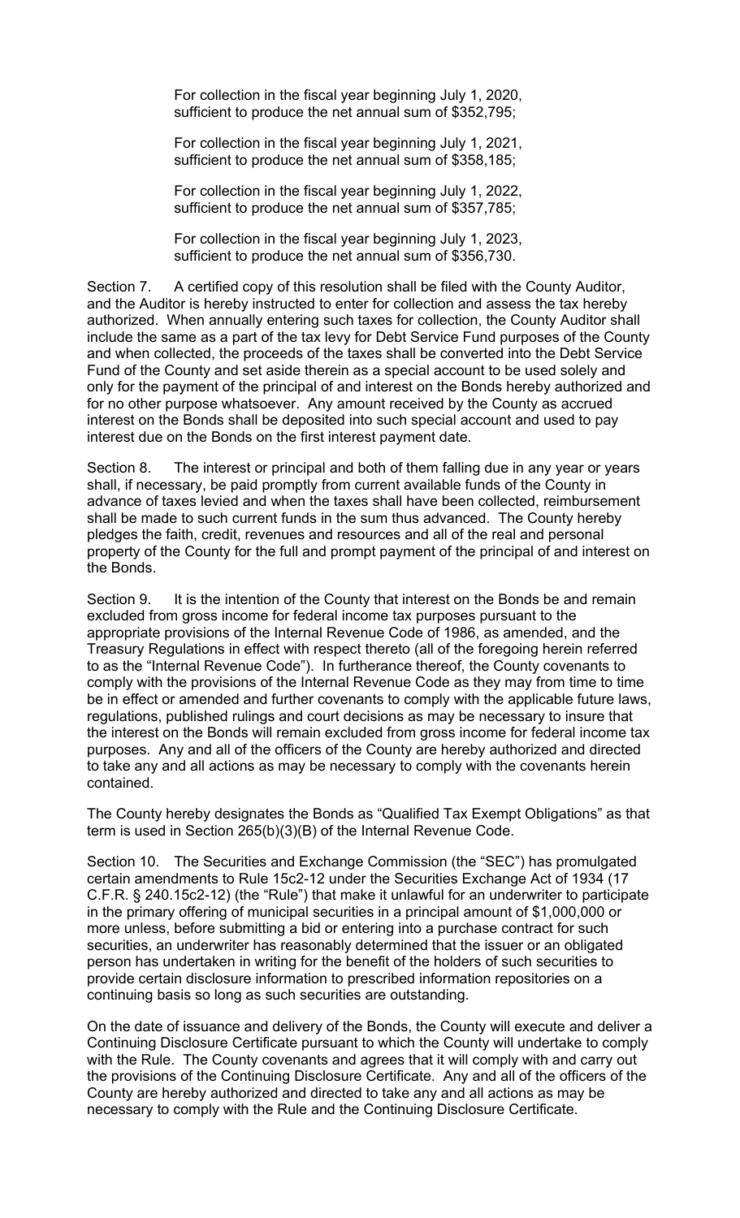For collection in the fiscal year beginning July 1, 2020, sufficient to produce the net annual sum of \$352,795;

For collection in the fiscal year beginning July 1, 2021, sufficient to produce the net annual sum of \$358,185;

For collection in the fiscal year beginning July 1, 2022, sufficient to produce the net annual sum of \$357,785;

For collection in the fiscal year beginning July 1, 2023, sufficient to produce the net annual sum of \$356,730.

Section 7. A certified copy of this resolution shall be filed with the County Auditor, and the Auditor is hereby instructed to enter for collection and assess the tax hereby authorized. When annually entering such taxes for collection, the County Auditor shall include the same as a part of the tax levy for Debt Service Fund purposes of the County and when collected, the proceeds of the taxes shall be converted into the Debt Service Fund of the County and set aside therein as a special account to be used solely and only for the payment of the principal of and interest on the Bonds hereby authorized and for no other purpose whatsoever. Any amount received by the County as accrued interest on the Bonds shall be deposited into such special account and used to pay interest due on the Bonds on the first interest payment date.

Section 8. The interest or principal and both of them falling due in any year or years shall, if necessary, be paid promptly from current available funds of the County in advance of taxes levied and when the taxes shall have been collected, reimbursement shall be made to such current funds in the sum thus advanced. The County hereby pledges the faith, credit, revenues and resources and all of the real and personal property of the County for the full and prompt payment of the principal of and interest on the Bonds.

Section 9. It is the intention of the County that interest on the Bonds be and remain excluded from gross income for federal income tax purposes pursuant to the appropriate provisions of the Internal Revenue Code of 1986, as amended, and the Treasury Regulations in effect with respect thereto (all of the foregoing herein referred to as the "Internal Revenue Code"). In furtherance thereof, the County covenants to comply with the provisions of the Internal Revenue Code as they may from time to time be in effect or amended and further covenants to comply with the applicable future laws, regulations, published rulings and court decisions as may be necessary to insure that the interest on the Bonds will remain excluded from gross income for federal income tax purposes. Any and all of the officers of the County are hereby authorized and directed to take any and all actions as may be necessary to comply with the covenants herein contained.

The County hereby designates the Bonds as "Qualified Tax Exempt Obligations" as that term is used in Section 265(b)(3)(B) of the Internal Revenue Code.

Section 10. The Securities and Exchange Commission (the "SEC") has promulgated certain amendments to Rule 15c2-12 under the Securities Exchange Act of 1934 (17 C.F.R. § 240.15c2-12) (the "Rule") that make it unlawful for an underwriter to participate in the primary offering of municipal securities in a principal amount of \$1,000,000 or more unless, before submitting a bid or entering into a purchase contract for such securities, an underwriter has reasonably determined that the issuer or an obligated person has undertaken in writing for the benefit of the holders of such securities to provide certain disclosure information to prescribed information repositories on a continuing basis so long as such securities are outstanding.

On the date of issuance and delivery of the Bonds, the County will execute and deliver a Continuing Disclosure Certificate pursuant to which the County will undertake to comply with the Rule. The County covenants and agrees that it will comply with and carry out the provisions of the Continuing Disclosure Certificate. Any and all of the officers of the County are hereby authorized and directed to take any and all actions as may be necessary to comply with the Rule and the Continuing Disclosure Certificate.